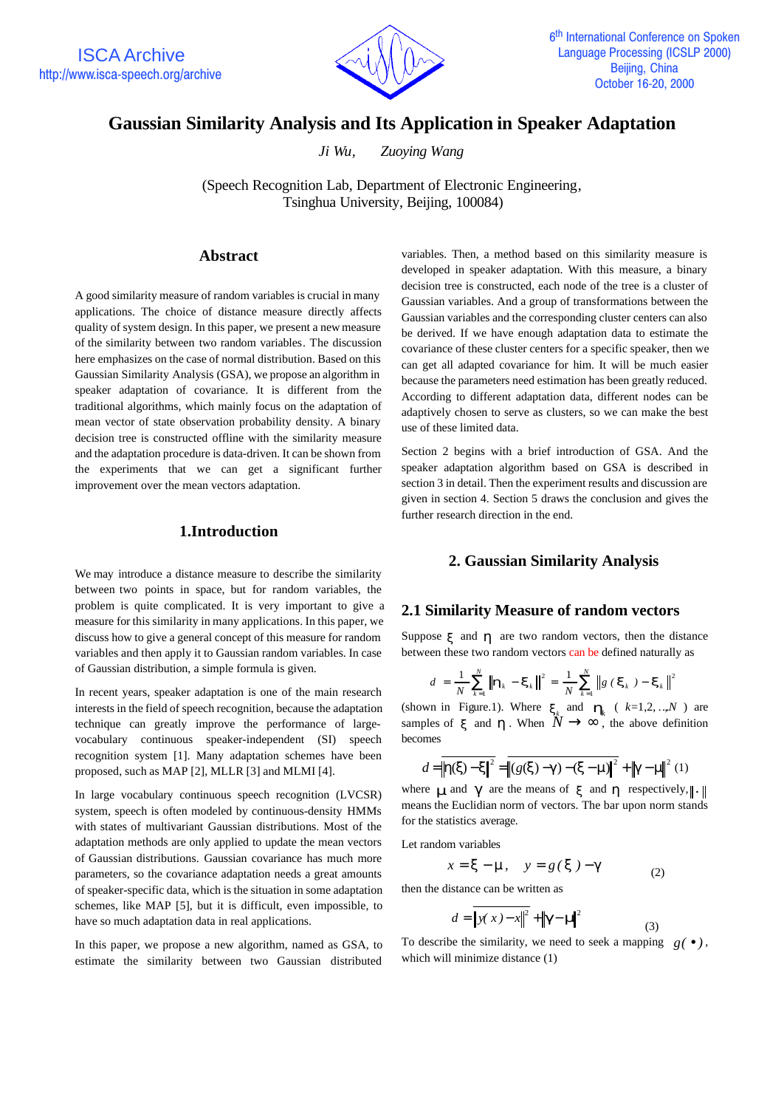

# **Gaussian Similarity Analysis and Its Application in Speaker Adaptation**

*Ji Wu, Zuoying Wang*

(Speech Recognition Lab, Department of Electronic Engineering, Tsinghua University, Beijing, 100084)

#### **Abstract**

A good similarity measure of random variables is crucial in many applications. The choice of distance measure directly affects quality of system design. In this paper, we present a new measure of the similarity between two random variables. The discussion here emphasizes on the case of normal distribution. Based on this Gaussian Similarity Analysis (GSA), we propose an algorithm in speaker adaptation of covariance. It is different from the traditional algorithms, which mainly focus on the adaptation of mean vector of state observation probability density. A binary decision tree is constructed offline with the similarity measure and the adaptation procedure is data-driven. It can be shown from the experiments that we can get a significant further improvement over the mean vectors adaptation.

#### **1.Introduction**

We may introduce a distance measure to describe the similarity between two points in space, but for random variables, the problem is quite complicated. It is very important to give a measure for this similarity in many applications. In this paper, we discuss how to give a general concept of this measure for random variables and then apply it to Gaussian random variables. In case of Gaussian distribution, a simple formula is given.

In recent years, speaker adaptation is one of the main research interests in the field of speech recognition, because the adaptation technique can greatly improve the performance of largevocabulary continuous speaker-independent (SI) speech recognition system [1]. Many adaptation schemes have been proposed, such as MAP [2], MLLR [3] and MLMI [4].

In large vocabulary continuous speech recognition (LVCSR) system, speech is often modeled by continuous-density HMMs with states of multivariant Gaussian distributions. Most of the adaptation methods are only applied to update the mean vectors of Gaussian distributions. Gaussian covariance has much more parameters, so the covariance adaptation needs a great amounts of speaker-specific data, which is the situation in some adaptation schemes, like MAP [5], but it is difficult, even impossible, to have so much adaptation data in real applications.

In this paper, we propose a new algorithm, named as GSA, to estimate the similarity between two Gaussian distributed

variables. Then, a method based on this similarity measure is developed in speaker adaptation. With this measure, a binary decision tree is constructed, each node of the tree is a cluster of Gaussian variables. And a group of transformations between the Gaussian variables and the corresponding cluster centers can also be derived. If we have enough adaptation data to estimate the covariance of these cluster centers for a specific speaker, then we can get all adapted covariance for him. It will be much easier because the parameters need estimation has been greatly reduced. According to different adaptation data, different nodes can be adaptively chosen to serve as clusters, so we can make the best use of these limited data.

Section 2 begins with a brief introduction of GSA. And the speaker adaptation algorithm based on GSA is described in section 3 in detail. Then the experiment results and discussion are given in section 4. Section 5 draws the conclusion and gives the further research direction in the end.

# **2. Gaussian Similarity Analysis**

# **2.1 Similarity Measure of random vectors**

Suppose  $\boldsymbol{x}$  and  $\boldsymbol{h}$  are two random vectors, then the distance between these two random vectors can be defined naturally as

$$
d = \frac{1}{N} \sum_{k=1}^{N} \left\| \boldsymbol{h}_k - \boldsymbol{x}_k \right\|^2 = \frac{1}{N} \sum_{k=1}^{N} \left\| g \left( \boldsymbol{x}_k \right) - \boldsymbol{x}_k \right\|^2
$$

(shown in Figure.1). Where  $\mathbf{x}_k$  and  $\mathbf{h}_k$  (  $k=1,2,...,N$  ) are samples of **x** and **h**. When  $\hat{N} \rightarrow \infty$ , the above definition becomes

$$
d = ||h(x) - x||^{2} = ||(g(x) - g) - (x - m)||^{2} + ||g - m||^{2} (1)
$$

where **m** and **g** are the means of **x** and **h** respectively,  $\|\cdot\|$ means the Euclidian norm of vectors. The bar upon norm stands for the statistics average.

Let random variables

 $x = x - m$ ,  $y = g(x) - g$ (2)

then the distance can be written as

$$
d = \sqrt{\left|y(x) - x\right|^2} + \left|\mathbf{g} - \mathbf{n}\right|^2
$$

To describe the similarity, we need to seek a mapping  $g(\bullet)$ , which will minimize distance (1)

(3)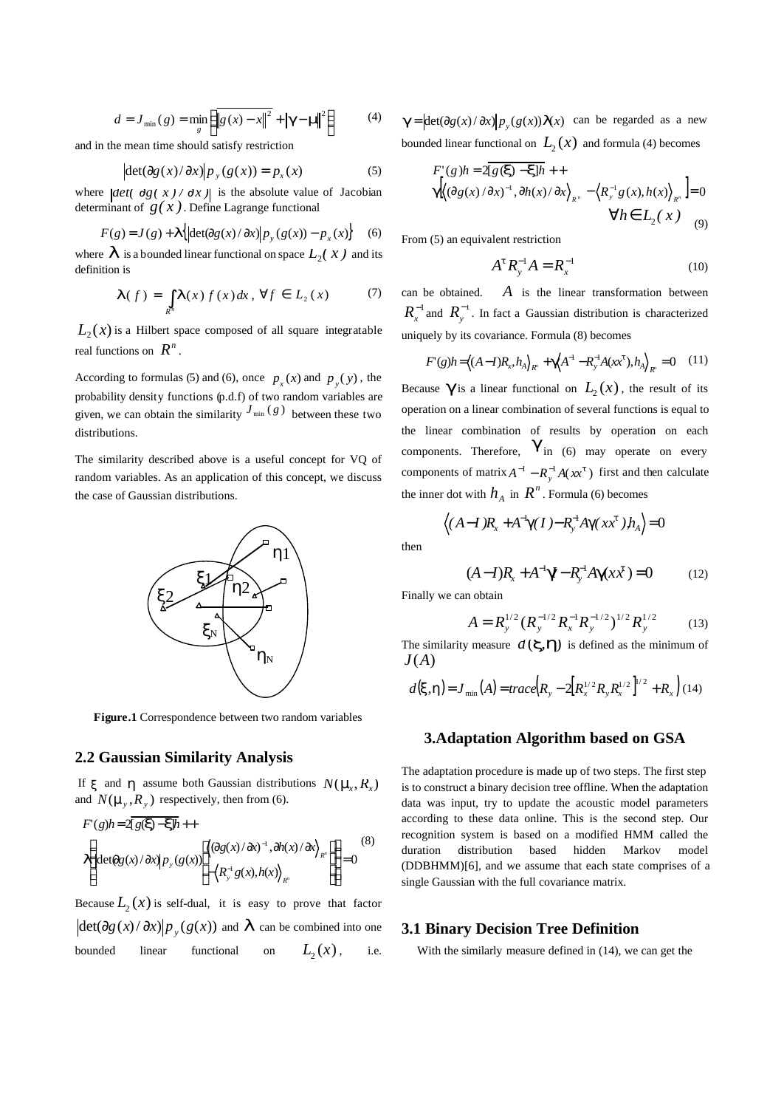$$
d = J_{\min}(g) = \min_{g} \left( \left\| g(x) - x \right\|^2 + \left| g - \mathbf{n} \right\|^2 \right) \tag{4}
$$

and in the mean time should satisfy restriction

$$
|\det(\partial g(x)/\partial x)|p_y(g(x)) = p_x(x) \tag{5}
$$

where  $\left| \det(\theta g(x)/\theta x) \right|$  is the absolute value of Jacobian determinant of  $g(x)$ . Define Lagrange functional

$$
F(g) = J(g) + \mathbf{I}\left\{ \left| \det(\partial g(x)/\partial x) \right| p_y(g(x)) - p_x(x) \right\} \tag{6}
$$

where  $\boldsymbol{I}$  is a bounded linear functional on space  $L_2(x)$  and its definition is

$$
\boldsymbol{I}(f) = \int_{R^n} \boldsymbol{I}(x) f(x) dx, \,\forall f \in L_2(x) \tag{7}
$$

 $L_2(x)$  is a Hilbert space composed of all square integratable real functions on  $R^n$ .

According to formulas (5) and (6), once  $p_x(x)$  and  $p_y(y)$ , the probability density functions (p.d.f) of two random variables are given, we can obtain the similarity  $J_{\min}(g)$  between these two distributions.

The similarity described above is a useful concept for VQ of random variables. As an application of this concept, we discuss the case of Gaussian distributions.



**Figure.1** Correspondence between two random variables

#### **2.2 Gaussian Similarity Analysis**

If *x* and *h* assume both Gaussian distributions  $N(\mathbf{m}, R_{\rm r})$ and  $N(\mathbf{m}_y, R_y)$  respectively, then from (6).

$$
F'(g)h = 2\overline{[g(\mathbf{x}) - \mathbf{x}]h} + \n\left\{ \left\vert \frac{\langle \partial g(x) \cdot \partial x \rangle^{-1}, \partial h(x)}{\partial x} \right\rangle_{R^*} \right\vert \geq 0} \n\left\vert \frac{\langle \partial g(x) \cdot \partial x \rangle^{-1}, \partial h(x)}{\partial x} \right\rangle_{R^*} = 0
$$
\n
$$
(8)
$$

Because  $L_2(x)$  is self-dual, it is easy to prove that factor  $\frac{d}{dx} \frac{d}{dx} \frac{d}{dx} \frac{d}{dx} \frac{d}{dx} \int p_y(g(x))$  and  $I$  can be combined into one bounded linear functional on  $L_2(x)$ , i.e.

 $g = \left| \det(\partial g(x)/\partial x) \right| p_y(g(x)) I(x)$  can be regarded as a new bounded linear functional on  $L_2(x)$  and formula (4) becomes

$$
F'(g)h = 2\overline{g(x) - x}h +
$$
  
\n
$$
g[(\partial g(x)/\partial x)^{-1}, \partial h(x)/\partial x]_{R^n} - \langle R_y^{-1}g(x), h(x) \rangle_{R^n}] = 0
$$
  
\n
$$
\forall h \in L_2(x)
$$
 (9)

From (5) an equivalent restriction

$$
A^t R_y^{-1} A = R_x^{-1}
$$
 (10)

can be obtained. *A* is the linear transformation between  $R_x^{-1}$  and  $R_y^{-1}$ . In fact a Gaussian distribution is characterized uniquely by its covariance. Formula (8) becomes

$$
F'(g)h = \langle (A-I)R_x, h_A \rangle_{R} + g(A^{-1} - R_y^{-1}A(xx^t), h_A \rangle_{R} = 0 \quad (11)
$$

Because  $\boldsymbol{g}$  is a linear functional on  $L_{2}(x)$  , the result of its operation on a linear combination of several functions is equal to the linear combination of results by operation on each components. Therefore,  $g$ <sup>in</sup> (6) may operate on every components of matrix  $A^{-1} - R_y^{-1}A(xx^t)$  first and then calculate the inner dot with  $h_A$  in  $R^n$ . Formula (6) becomes

$$
\langle (A-I)R_x + A^{-1}g(I) - R_y^{-1}Ag(xx^t), h_A \rangle =
$$

$$
(A-I)R_x + A^{-1}g - R_y^{-1}Ag(xx^t) = 0 \tag{12}
$$

 $=0$ 

Finally we can obtain

then

$$
A = R_{y}^{1/2} (R_{y}^{-1/2} R_{x}^{-1} R_{y}^{-1/2})^{1/2} R_{y}^{1/2}
$$
 (13)

The similarity measure  $d(\mathbf{X}, h)$  is defined as the minimum of *J* (*A*)

$$
d(\mathbf{x}, \mathbf{h}) = J_{\min}(A) = trace(R_{y} - 2[R_{x}^{1/2}R_{y}R_{x}^{1/2}]^{1/2} + R_{x})
$$
(14)

#### **3.Adaptation Algorithm based on GSA**

The adaptation procedure is made up of two steps. The first step is to construct a binary decision tree offline. When the adaptation data was input, try to update the acoustic model parameters according to these data online. This is the second step. Our recognition system is based on a modified HMM called the duration distribution based hidden Markov model (DDBHMM)[6], and we assume that each state comprises of a single Gaussian with the full covariance matrix.

# **3.1 Binary Decision Tree Definition**

With the similarly measure defined in (14), we can get the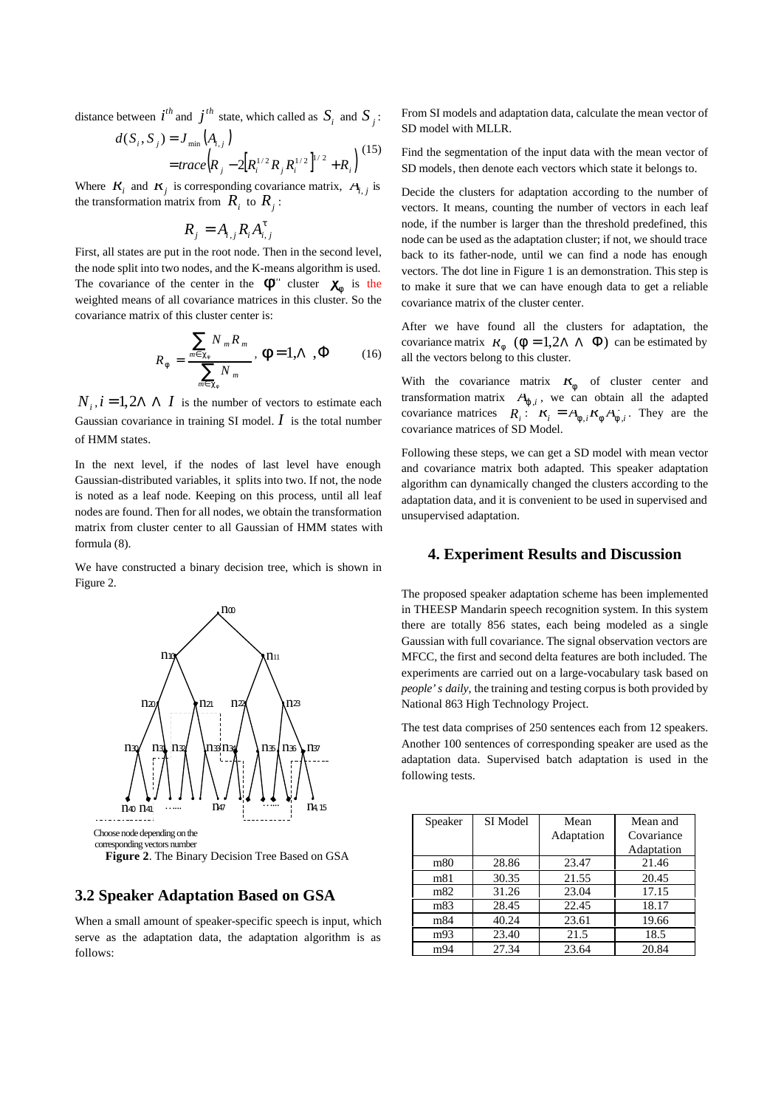distance between  $i^{th}$  and  $j^{th}$  state, which called as  $S_i$  and  $S_j$ :

$$
d(S_i, S_j) = J_{\min}(A_{i,j})
$$
  
=  $trace(R_j - 2[R_i^{1/2}R_jR_i^{1/2}]^{1/2} + R_i)$  (15)

Where  $K_i$  and  $K_j$  is corresponding covariance matrix,  $A_{i,j}$  is the transformation matrix from  $R_i$  to  $R_j$ :

$$
R_j = A_{i,j} R_i A_{i,j}^t
$$

First, all states are put in the root node. Then in the second level, the node split into two nodes, and the K-means algorithm is used. The covariance of the center in the  $f''$  cluster  $C_f$  is the weighted means of all covariance matrices in this cluster. So the covariance matrix of this cluster center is:

$$
R_f = \frac{\sum_{m \in c_f} N_m R_m}{\sum_{m \in c_f} N_m}, \mathbf{f} = 1, \Lambda, \Phi \qquad (16)
$$

 $N_i$ ,  $i = 1, 2\Lambda \Lambda$  *I* is the number of vectors to estimate each Gaussian covariance in training SI model.  $I$  is the total number of HMM states.

In the next level, if the nodes of last level have enough Gaussian-distributed variables, it splits into two. If not, the node is noted as a leaf node. Keeping on this process, until all leaf nodes are found. Then for all nodes, we obtain the transformation matrix from cluster center to all Gaussian of HMM states with formula (8).

We have constructed a binary decision tree, which is shown in Figure 2.



**Figure 2**. The Binary Decision Tree Based on GSA

# **3.2 Speaker Adaptation Based on GSA**

When a small amount of speaker-specific speech is input, which serve as the adaptation data, the adaptation algorithm is as follows:

From SI models and adaptation data, calculate the mean vector of SD model with MLLR.

Find the segmentation of the input data with the mean vector of SD models, then denote each vectors which state it belongs to.

Decide the clusters for adaptation according to the number of vectors. It means, counting the number of vectors in each leaf node, if the number is larger than the threshold predefined, this node can be used as the adaptation cluster; if not, we should trace back to its father-node, until we can find a node has enough vectors. The dot line in Figure 1 is an demonstration. This step is to make it sure that we can have enough data to get a reliable covariance matrix of the cluster center.

After we have found all the clusters for adaptation, the covariance matrix  $R_f$  ( $f = 1,2\Lambda \Lambda \Phi$ ) can be estimated by all the vectors belong to this cluster.

With the covariance matrix  $K_f$  of cluster center and transformation matrix  $A_{j,i}$ , we can obtain all the adapted covariance matrices  $R_i: K_i = A_{f,i}K_fA_{f,i}$ . They are the covariance matrices of SD Model.

Following these steps, we can get a SD model with mean vector and covariance matrix both adapted. This speaker adaptation algorithm can dynamically changed the clusters according to the adaptation data, and it is convenient to be used in supervised and unsupervised adaptation.

## **4. Experiment Results and Discussion**

The proposed speaker adaptation scheme has been implemented in THEESP Mandarin speech recognition system. In this system there are totally 856 states, each being modeled as a single Gaussian with full covariance. The signal observation vectors are MFCC, the first and second delta features are both included. The experiments are carried out on a large-vocabulary task based on *people's daily,* the training and testing corpus is both provided by National 863 High Technology Project.

The test data comprises of 250 sentences each from 12 speakers. Another 100 sentences of corresponding speaker are used as the adaptation data. Supervised batch adaptation is used in the following tests.

| Speaker | SI Model | Mean       | Mean and   |
|---------|----------|------------|------------|
|         |          | Adaptation | Covariance |
|         |          |            | Adaptation |
| m80     | 28.86    | 23.47      | 21.46      |
| m81     | 30.35    | 21.55      | 20.45      |
| m82     | 31.26    | 23.04      | 17.15      |
| m83     | 28.45    | 22.45      | 18.17      |
| m84     | 40.24    | 23.61      | 19.66      |
| m93     | 23.40    | 21.5       | 18.5       |
| m94     | 27.34    | 23.64      | 20.84      |